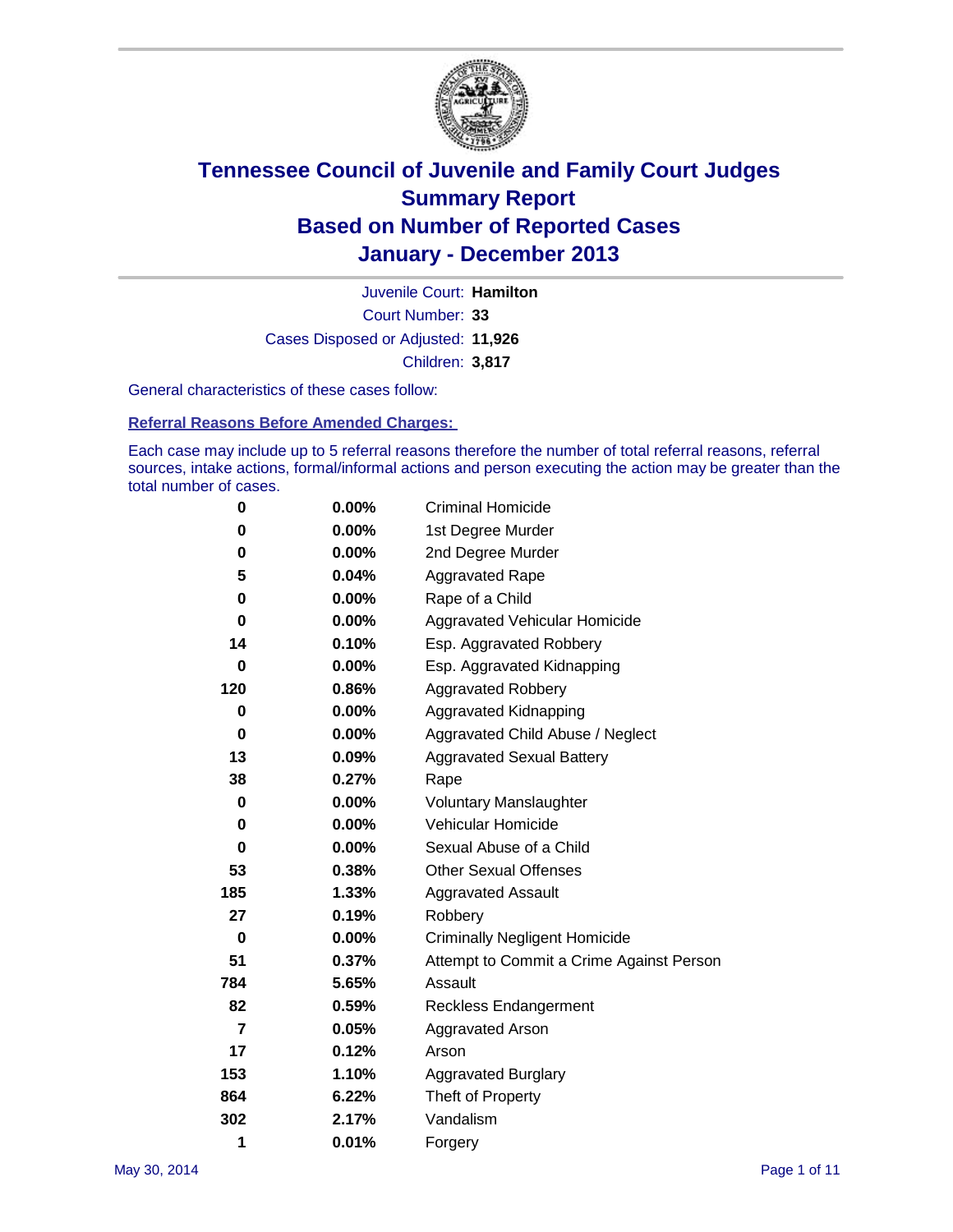

Court Number: **33** Juvenile Court: **Hamilton** Cases Disposed or Adjusted: **11,926** Children: **3,817**

General characteristics of these cases follow:

**Referral Reasons Before Amended Charges:** 

Each case may include up to 5 referral reasons therefore the number of total referral reasons, referral sources, intake actions, formal/informal actions and person executing the action may be greater than the total number of cases.

| 0   | 0.00%    | <b>Criminal Homicide</b>                 |  |  |  |
|-----|----------|------------------------------------------|--|--|--|
| 0   | 0.00%    | 1st Degree Murder                        |  |  |  |
| 0   | $0.00\%$ | 2nd Degree Murder                        |  |  |  |
| 5   | 0.04%    | <b>Aggravated Rape</b>                   |  |  |  |
| 0   | 0.00%    | Rape of a Child                          |  |  |  |
| 0   | 0.00%    | Aggravated Vehicular Homicide            |  |  |  |
| 14  | 0.10%    | Esp. Aggravated Robbery                  |  |  |  |
| 0   | $0.00\%$ | Esp. Aggravated Kidnapping               |  |  |  |
| 120 | 0.86%    | <b>Aggravated Robbery</b>                |  |  |  |
| 0   | 0.00%    | Aggravated Kidnapping                    |  |  |  |
| 0   | $0.00\%$ | Aggravated Child Abuse / Neglect         |  |  |  |
| 13  | 0.09%    | <b>Aggravated Sexual Battery</b>         |  |  |  |
| 38  | 0.27%    | Rape                                     |  |  |  |
| 0   | $0.00\%$ | <b>Voluntary Manslaughter</b>            |  |  |  |
| 0   | 0.00%    | Vehicular Homicide                       |  |  |  |
| 0   | $0.00\%$ | Sexual Abuse of a Child                  |  |  |  |
| 53  | 0.38%    | <b>Other Sexual Offenses</b>             |  |  |  |
| 185 | 1.33%    | Aggravated Assault                       |  |  |  |
| 27  | 0.19%    | Robbery                                  |  |  |  |
| 0   | 0.00%    | <b>Criminally Negligent Homicide</b>     |  |  |  |
| 51  | 0.37%    | Attempt to Commit a Crime Against Person |  |  |  |
| 784 | 5.65%    | Assault                                  |  |  |  |
| 82  | 0.59%    | <b>Reckless Endangerment</b>             |  |  |  |
| 7   | 0.05%    | <b>Aggravated Arson</b>                  |  |  |  |
| 17  | 0.12%    | Arson                                    |  |  |  |
| 153 | 1.10%    | <b>Aggravated Burglary</b>               |  |  |  |
| 864 | 6.22%    | Theft of Property                        |  |  |  |
| 302 | 2.17%    | Vandalism                                |  |  |  |
| 1   | 0.01%    | Forgery                                  |  |  |  |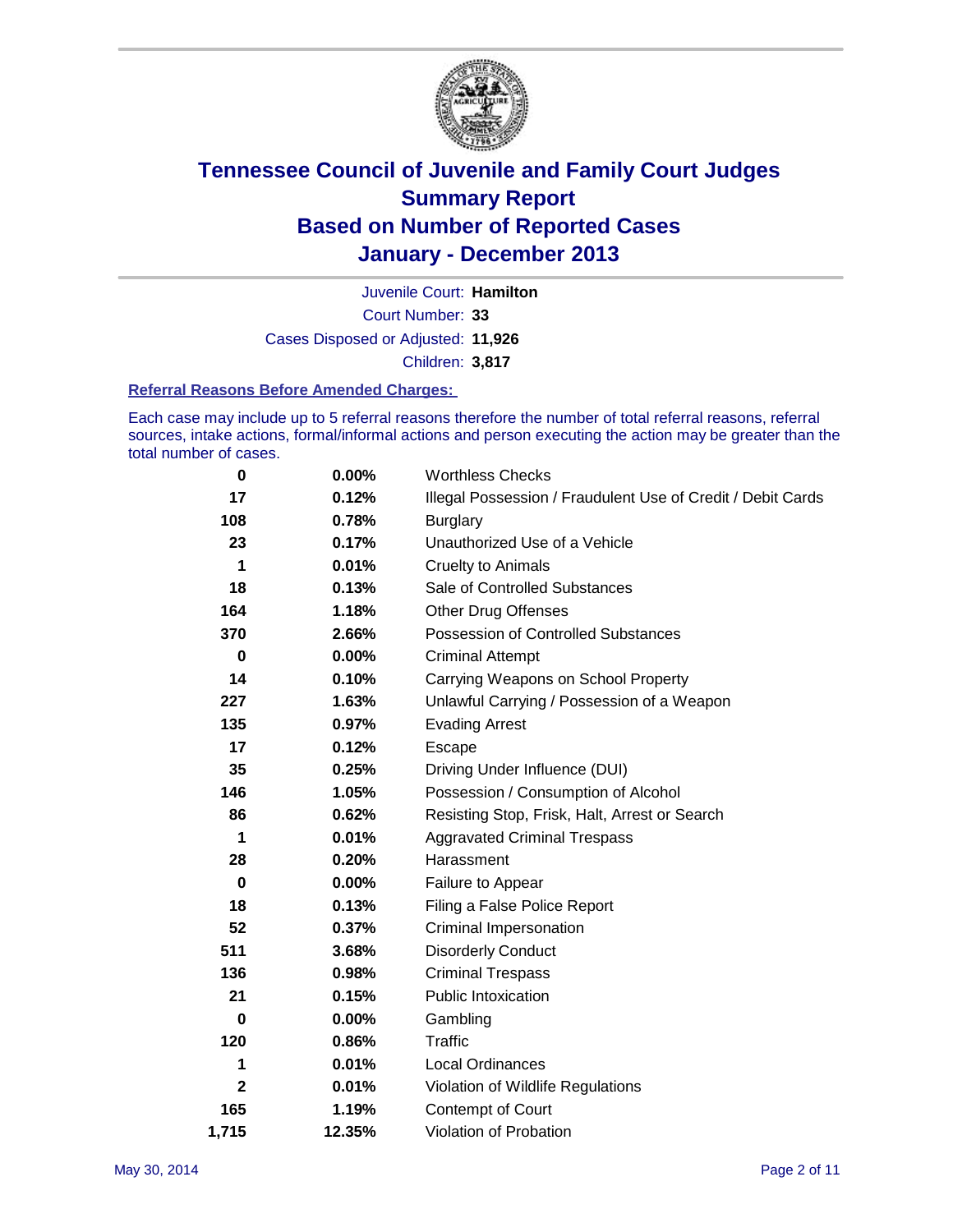

Court Number: **33** Juvenile Court: **Hamilton** Cases Disposed or Adjusted: **11,926** Children: **3,817**

#### **Referral Reasons Before Amended Charges:**

Each case may include up to 5 referral reasons therefore the number of total referral reasons, referral sources, intake actions, formal/informal actions and person executing the action may be greater than the total number of cases.

| 0            | $0.00\%$ | <b>Worthless Checks</b>                                     |  |  |  |
|--------------|----------|-------------------------------------------------------------|--|--|--|
| 17           | 0.12%    | Illegal Possession / Fraudulent Use of Credit / Debit Cards |  |  |  |
| 108          | 0.78%    | <b>Burglary</b>                                             |  |  |  |
| 23           | 0.17%    | Unauthorized Use of a Vehicle                               |  |  |  |
| 1            | 0.01%    | <b>Cruelty to Animals</b>                                   |  |  |  |
| 18           | 0.13%    | Sale of Controlled Substances                               |  |  |  |
| 164          | 1.18%    | <b>Other Drug Offenses</b>                                  |  |  |  |
| 370          | 2.66%    | Possession of Controlled Substances                         |  |  |  |
| 0            | $0.00\%$ | <b>Criminal Attempt</b>                                     |  |  |  |
| 14           | 0.10%    | Carrying Weapons on School Property                         |  |  |  |
| 227          | 1.63%    | Unlawful Carrying / Possession of a Weapon                  |  |  |  |
| 135          | 0.97%    | <b>Evading Arrest</b>                                       |  |  |  |
| 17           | 0.12%    | Escape                                                      |  |  |  |
| 35           | 0.25%    | Driving Under Influence (DUI)                               |  |  |  |
| 146          | 1.05%    | Possession / Consumption of Alcohol                         |  |  |  |
| 86           | 0.62%    | Resisting Stop, Frisk, Halt, Arrest or Search               |  |  |  |
| 1            | 0.01%    | <b>Aggravated Criminal Trespass</b>                         |  |  |  |
| 28           | 0.20%    | Harassment                                                  |  |  |  |
| 0            | 0.00%    | Failure to Appear                                           |  |  |  |
| 18           | 0.13%    | Filing a False Police Report                                |  |  |  |
| 52           | 0.37%    | Criminal Impersonation                                      |  |  |  |
| 511          | 3.68%    | <b>Disorderly Conduct</b>                                   |  |  |  |
| 136          | 0.98%    | <b>Criminal Trespass</b>                                    |  |  |  |
| 21           | 0.15%    | <b>Public Intoxication</b>                                  |  |  |  |
| 0            | 0.00%    | Gambling                                                    |  |  |  |
| 120          | 0.86%    | Traffic                                                     |  |  |  |
| 1            | 0.01%    | <b>Local Ordinances</b>                                     |  |  |  |
| $\mathbf{2}$ | 0.01%    | Violation of Wildlife Regulations                           |  |  |  |
| 165          | 1.19%    | Contempt of Court                                           |  |  |  |
| 1,715        | 12.35%   | Violation of Probation                                      |  |  |  |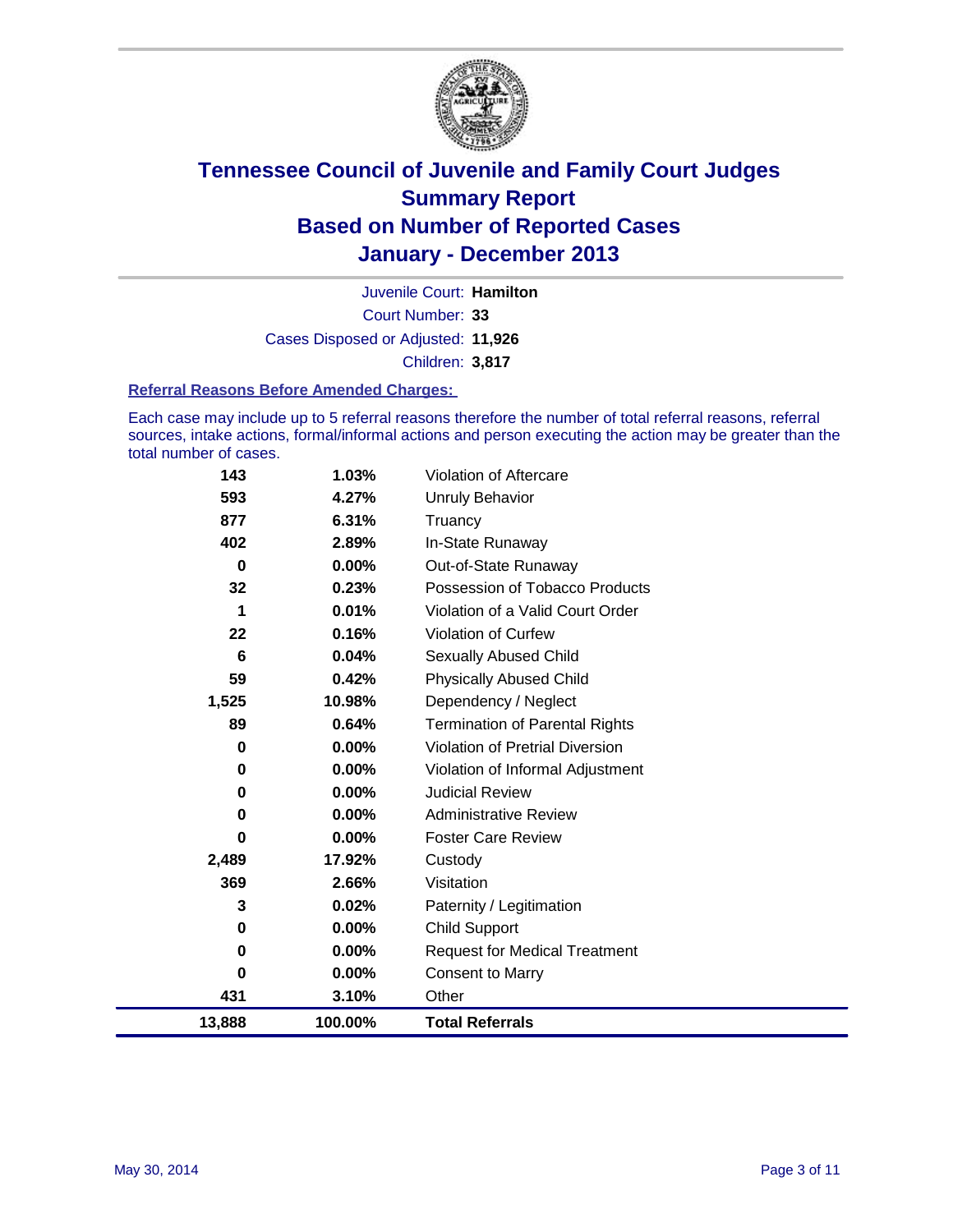

Court Number: **33** Juvenile Court: **Hamilton** Cases Disposed or Adjusted: **11,926** Children: **3,817**

#### **Referral Reasons Before Amended Charges:**

Each case may include up to 5 referral reasons therefore the number of total referral reasons, referral sources, intake actions, formal/informal actions and person executing the action may be greater than the total number of cases.

| 143         | 1.03%   | <b>Violation of Aftercare</b>          |
|-------------|---------|----------------------------------------|
| 593         | 4.27%   | <b>Unruly Behavior</b>                 |
| 877         | 6.31%   | Truancy                                |
| 402         | 2.89%   | In-State Runaway                       |
| $\mathbf 0$ | 0.00%   | Out-of-State Runaway                   |
| 32          | 0.23%   | Possession of Tobacco Products         |
| 1           | 0.01%   | Violation of a Valid Court Order       |
| 22          | 0.16%   | <b>Violation of Curfew</b>             |
| 6           | 0.04%   | Sexually Abused Child                  |
| 59          | 0.42%   | <b>Physically Abused Child</b>         |
| 1,525       | 10.98%  | Dependency / Neglect                   |
| 89          | 0.64%   | <b>Termination of Parental Rights</b>  |
| 0           | 0.00%   | <b>Violation of Pretrial Diversion</b> |
| 0           | 0.00%   | Violation of Informal Adjustment       |
| 0           | 0.00%   | <b>Judicial Review</b>                 |
| 0           | 0.00%   | <b>Administrative Review</b>           |
| 0           | 0.00%   | <b>Foster Care Review</b>              |
| 2,489       | 17.92%  | Custody                                |
| 369         | 2.66%   | Visitation                             |
| 3           | 0.02%   | Paternity / Legitimation               |
| 0           | 0.00%   | <b>Child Support</b>                   |
| 0           | 0.00%   | <b>Request for Medical Treatment</b>   |
| 0           | 0.00%   | <b>Consent to Marry</b>                |
| 431         | 3.10%   | Other                                  |
| 13,888      | 100.00% | <b>Total Referrals</b>                 |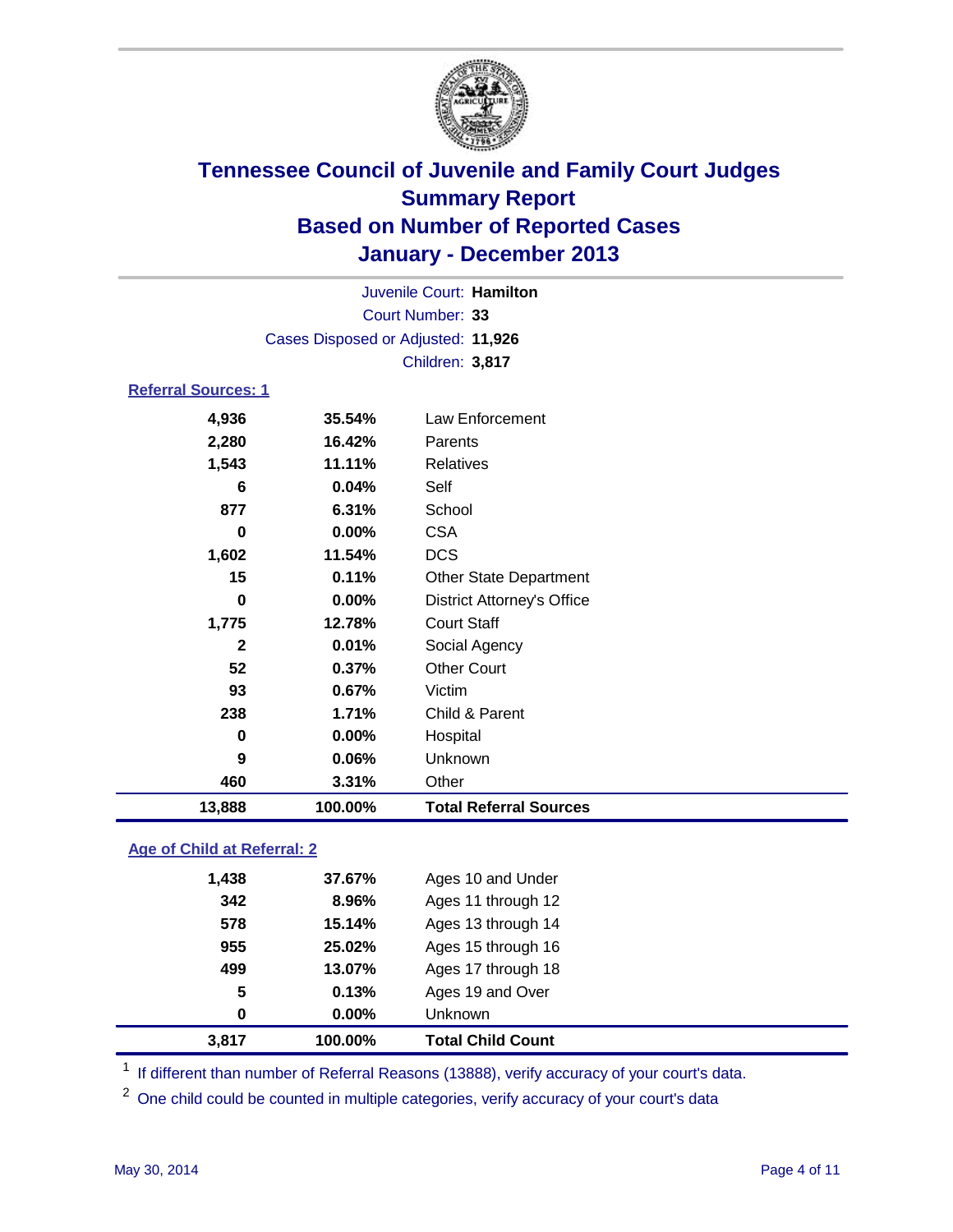

| Juvenile Court: Hamilton   |                                    |                                   |  |  |
|----------------------------|------------------------------------|-----------------------------------|--|--|
| Court Number: 33           |                                    |                                   |  |  |
|                            | Cases Disposed or Adjusted: 11,926 |                                   |  |  |
|                            |                                    | Children: 3,817                   |  |  |
| <b>Referral Sources: 1</b> |                                    |                                   |  |  |
| 4,936                      | 35.54%                             | Law Enforcement                   |  |  |
| 2,280                      | 16.42%                             | Parents                           |  |  |
| 1,543                      | 11.11%                             | <b>Relatives</b>                  |  |  |
| 6                          | 0.04%                              | Self                              |  |  |
| 877                        | 6.31%                              | School                            |  |  |
| $\bf{0}$                   | 0.00%                              | <b>CSA</b>                        |  |  |
| 1,602<br>11.54%            |                                    | <b>DCS</b>                        |  |  |
| 0.11%<br>15                |                                    | <b>Other State Department</b>     |  |  |
| $\bf{0}$<br>0.00%          |                                    | <b>District Attorney's Office</b> |  |  |
| 1,775<br>12.78%            |                                    | <b>Court Staff</b>                |  |  |
| $\mathbf{2}$<br>0.01%      |                                    | Social Agency                     |  |  |
| 52                         | 0.37%                              | <b>Other Court</b>                |  |  |
| 93                         | 0.67%                              | Victim                            |  |  |
| 238                        | 1.71%                              | Child & Parent                    |  |  |
| 0                          | 0.00%                              | Hospital                          |  |  |
| 9                          | 0.06%                              | Unknown                           |  |  |
| 460                        | 3.31%                              | Other                             |  |  |
| 13,888                     | 100.00%                            | <b>Total Referral Sources</b>     |  |  |

### **Age of Child at Referral: 2**

| 955<br>499<br>5<br>0 | 25.02%<br>13.07%<br>0.13%<br>0.00% | Ages 15 through 16<br>Ages 17 through 18<br>Ages 19 and Over<br><b>Unknown</b> |
|----------------------|------------------------------------|--------------------------------------------------------------------------------|
|                      |                                    |                                                                                |
|                      |                                    |                                                                                |
|                      |                                    |                                                                                |
|                      |                                    |                                                                                |
| 578                  | 15.14%                             | Ages 13 through 14                                                             |
| 342                  | 8.96%                              | Ages 11 through 12                                                             |
| 1,438                |                                    | Ages 10 and Under                                                              |
|                      |                                    | 37.67%                                                                         |

<sup>1</sup> If different than number of Referral Reasons (13888), verify accuracy of your court's data.

<sup>2</sup> One child could be counted in multiple categories, verify accuracy of your court's data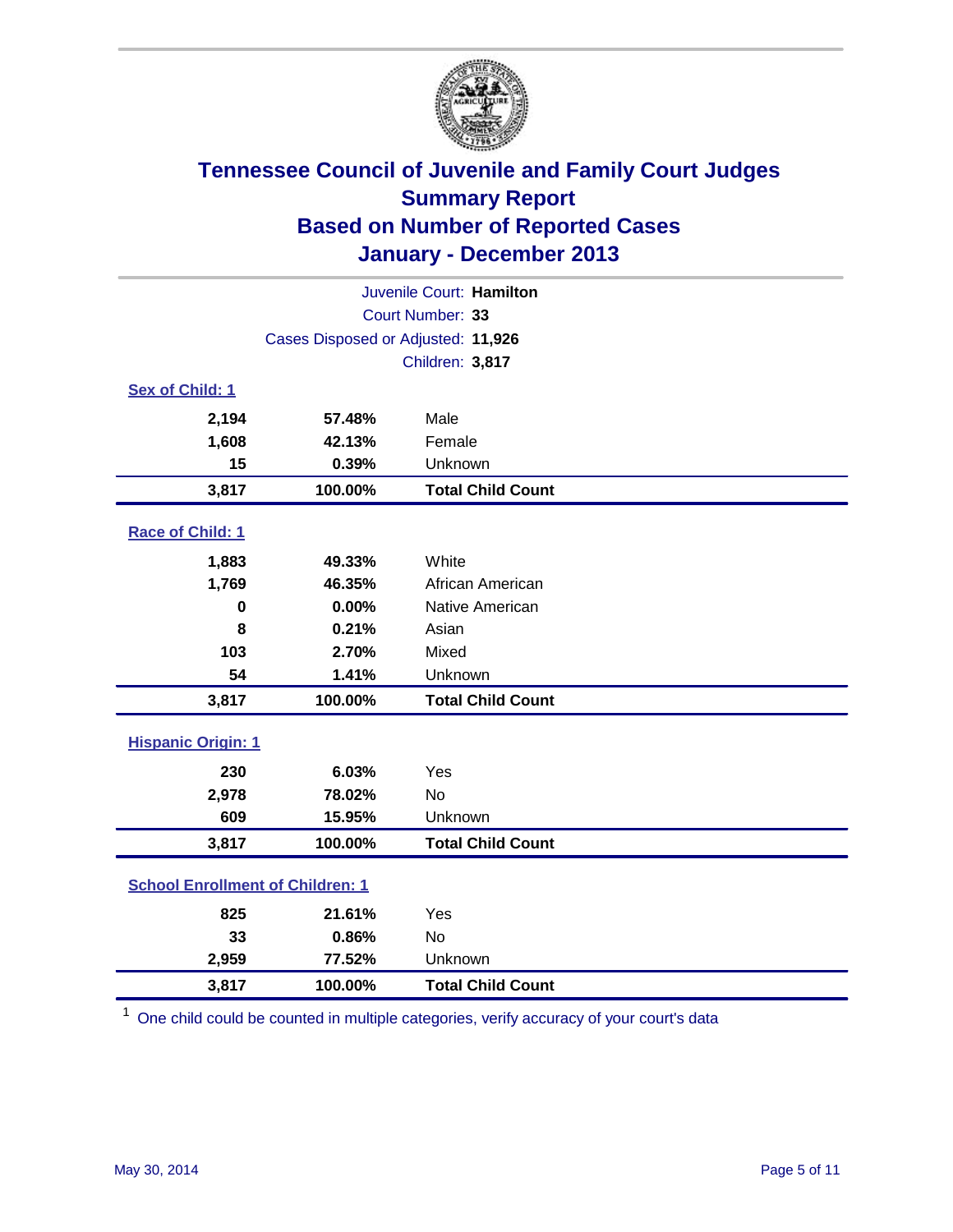

| Juvenile Court: Hamilton                     |                                    |                          |  |  |  |
|----------------------------------------------|------------------------------------|--------------------------|--|--|--|
|                                              | Court Number: 33                   |                          |  |  |  |
|                                              | Cases Disposed or Adjusted: 11,926 |                          |  |  |  |
|                                              |                                    | Children: 3,817          |  |  |  |
| Sex of Child: 1                              |                                    |                          |  |  |  |
| 2,194                                        | 57.48%                             | Male                     |  |  |  |
| 1,608                                        | 42.13%                             | Female                   |  |  |  |
| 15                                           | 0.39%                              | Unknown                  |  |  |  |
| 3,817                                        | 100.00%                            | <b>Total Child Count</b> |  |  |  |
| Race of Child: 1                             |                                    |                          |  |  |  |
| 1,883                                        | 49.33%                             | White                    |  |  |  |
| 1,769                                        | 46.35%                             | African American         |  |  |  |
| $\mathbf 0$<br>0.00%<br>8<br>0.21%           |                                    | Native American          |  |  |  |
|                                              |                                    | Asian                    |  |  |  |
| 103                                          | 2.70%                              | Mixed                    |  |  |  |
| 54                                           | 1.41%                              | Unknown                  |  |  |  |
| 3,817                                        | 100.00%                            | <b>Total Child Count</b> |  |  |  |
| <b>Hispanic Origin: 1</b>                    |                                    |                          |  |  |  |
| 230                                          | 6.03%                              | Yes                      |  |  |  |
| 2,978                                        | 78.02%                             | <b>No</b>                |  |  |  |
| 609                                          | 15.95%                             | Unknown                  |  |  |  |
| 3,817                                        | 100.00%                            | <b>Total Child Count</b> |  |  |  |
| <b>School Enrollment of Children: 1</b>      |                                    |                          |  |  |  |
| 825                                          | 21.61%                             | Yes                      |  |  |  |
| 33                                           | 0.86%                              | <b>No</b>                |  |  |  |
| 2,959                                        | 77.52%                             | Unknown                  |  |  |  |
| <b>Total Child Count</b><br>3,817<br>100.00% |                                    |                          |  |  |  |

 $1$  One child could be counted in multiple categories, verify accuracy of your court's data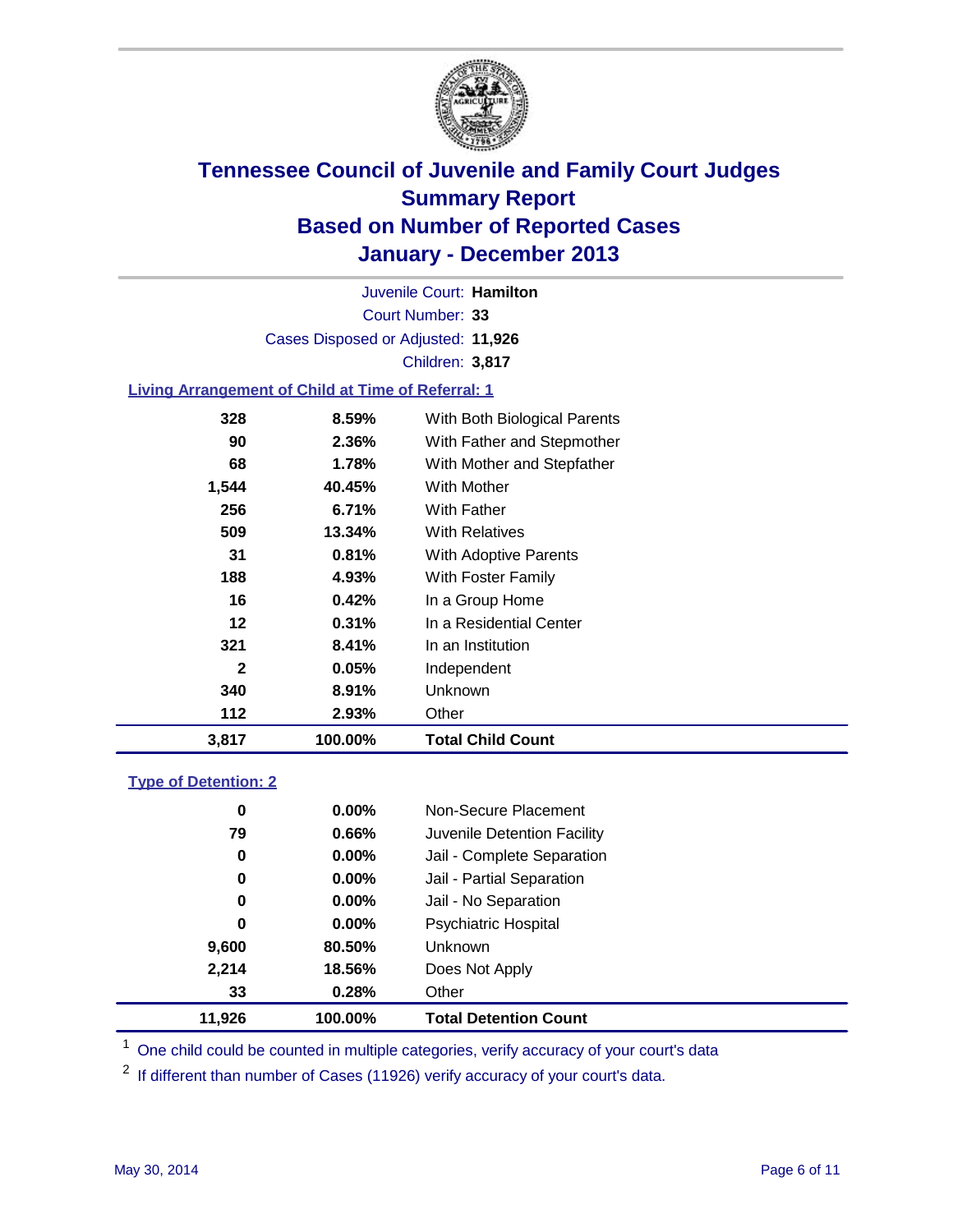

Court Number: **33** Juvenile Court: **Hamilton** Cases Disposed or Adjusted: **11,926** Children: **3,817**

### **Living Arrangement of Child at Time of Referral: 1**

| 3,817 | 100.00%  | <b>Total Child Count</b>     |
|-------|----------|------------------------------|
| 112   | 2.93%    | Other                        |
| 340   | 8.91%    | <b>Unknown</b>               |
| 2     | 0.05%    | Independent                  |
| 321   | 8.41%    | In an Institution            |
| 12    | $0.31\%$ | In a Residential Center      |
| 16    | 0.42%    | In a Group Home              |
| 188   | 4.93%    | With Foster Family           |
| 31    | 0.81%    | With Adoptive Parents        |
| 509   | 13.34%   | <b>With Relatives</b>        |
| 256   | 6.71%    | With Father                  |
| 1,544 | 40.45%   | With Mother                  |
| 68    | 1.78%    | With Mother and Stepfather   |
| 90    | 2.36%    | With Father and Stepmother   |
| 328   | 8.59%    | With Both Biological Parents |

#### **Type of Detention: 2**

| 11,926 | 100.00%       | <b>Total Detention Count</b> |  |
|--------|---------------|------------------------------|--|
|        | 0.28%<br>33   | Other                        |  |
| 2,214  | 18.56%        | Does Not Apply               |  |
| 9,600  | 80.50%        | <b>Unknown</b>               |  |
|        | $0.00\%$<br>0 | <b>Psychiatric Hospital</b>  |  |
|        | 0.00%<br>0    | Jail - No Separation         |  |
|        | 0<br>$0.00\%$ | Jail - Partial Separation    |  |
|        | 0.00%<br>0    | Jail - Complete Separation   |  |
|        | 0.66%<br>79   | Juvenile Detention Facility  |  |
|        | 0.00%<br>0    | Non-Secure Placement         |  |
|        |               |                              |  |

<sup>1</sup> One child could be counted in multiple categories, verify accuracy of your court's data

<sup>2</sup> If different than number of Cases (11926) verify accuracy of your court's data.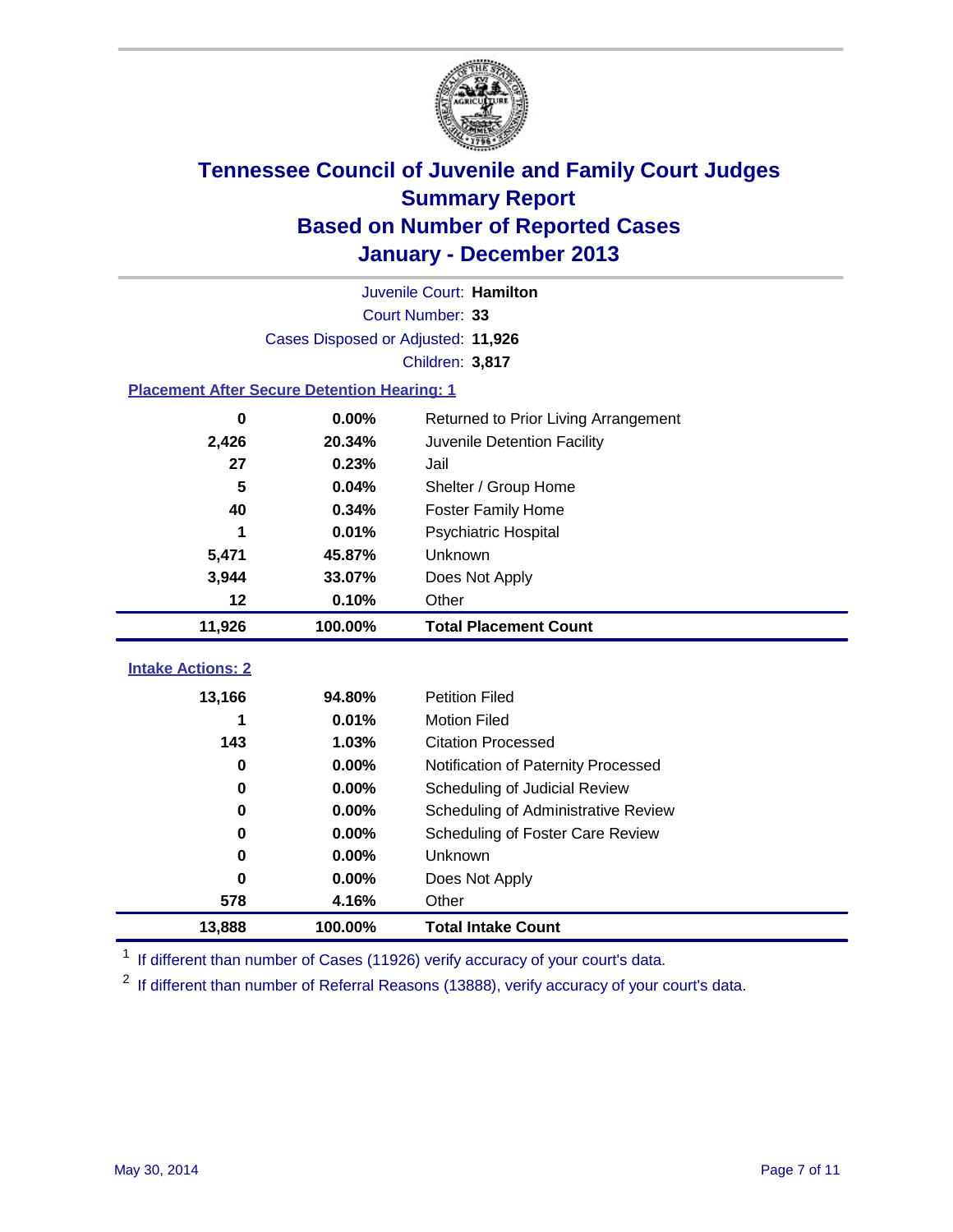

|                                                | Juvenile Court: Hamilton                           |                                      |  |  |  |  |
|------------------------------------------------|----------------------------------------------------|--------------------------------------|--|--|--|--|
|                                                | Court Number: 33                                   |                                      |  |  |  |  |
|                                                | Cases Disposed or Adjusted: 11,926                 |                                      |  |  |  |  |
|                                                |                                                    | Children: 3,817                      |  |  |  |  |
|                                                | <b>Placement After Secure Detention Hearing: 1</b> |                                      |  |  |  |  |
| $\bf{0}$                                       | 0.00%                                              | Returned to Prior Living Arrangement |  |  |  |  |
| 2,426                                          | 20.34%                                             | Juvenile Detention Facility          |  |  |  |  |
| 27                                             | 0.23%                                              | Jail                                 |  |  |  |  |
| 5                                              | 0.04%                                              | Shelter / Group Home                 |  |  |  |  |
| 40                                             | 0.34%                                              | <b>Foster Family Home</b>            |  |  |  |  |
| 1                                              | 0.01%                                              | Psychiatric Hospital                 |  |  |  |  |
| 5,471                                          | 45.87%                                             | Unknown                              |  |  |  |  |
| 3,944<br>33.07%                                |                                                    | Does Not Apply                       |  |  |  |  |
| 12                                             | 0.10%                                              | Other                                |  |  |  |  |
| 11,926                                         | 100.00%                                            | <b>Total Placement Count</b>         |  |  |  |  |
| <b>Intake Actions: 2</b>                       |                                                    |                                      |  |  |  |  |
|                                                |                                                    |                                      |  |  |  |  |
| 13,166                                         | 94.80%                                             | <b>Petition Filed</b>                |  |  |  |  |
| 1                                              | 0.01%                                              | <b>Motion Filed</b>                  |  |  |  |  |
| 143                                            | 1.03%                                              | <b>Citation Processed</b>            |  |  |  |  |
| 0                                              | 0.00%                                              | Notification of Paternity Processed  |  |  |  |  |
| $\bf{0}$                                       | 0.00%                                              | Scheduling of Judicial Review        |  |  |  |  |
| $\bf{0}$                                       | 0.00%                                              | Scheduling of Administrative Review  |  |  |  |  |
| 0                                              | 0.00%                                              | Scheduling of Foster Care Review     |  |  |  |  |
| 0                                              | 0.00%                                              | Unknown                              |  |  |  |  |
| $\bf{0}$                                       | 0.00%                                              | Does Not Apply                       |  |  |  |  |
| 578                                            | 4.16%                                              | Other                                |  |  |  |  |
| 13,888<br>100.00%<br><b>Total Intake Count</b> |                                                    |                                      |  |  |  |  |

<sup>1</sup> If different than number of Cases (11926) verify accuracy of your court's data.

 $2$  If different than number of Referral Reasons (13888), verify accuracy of your court's data.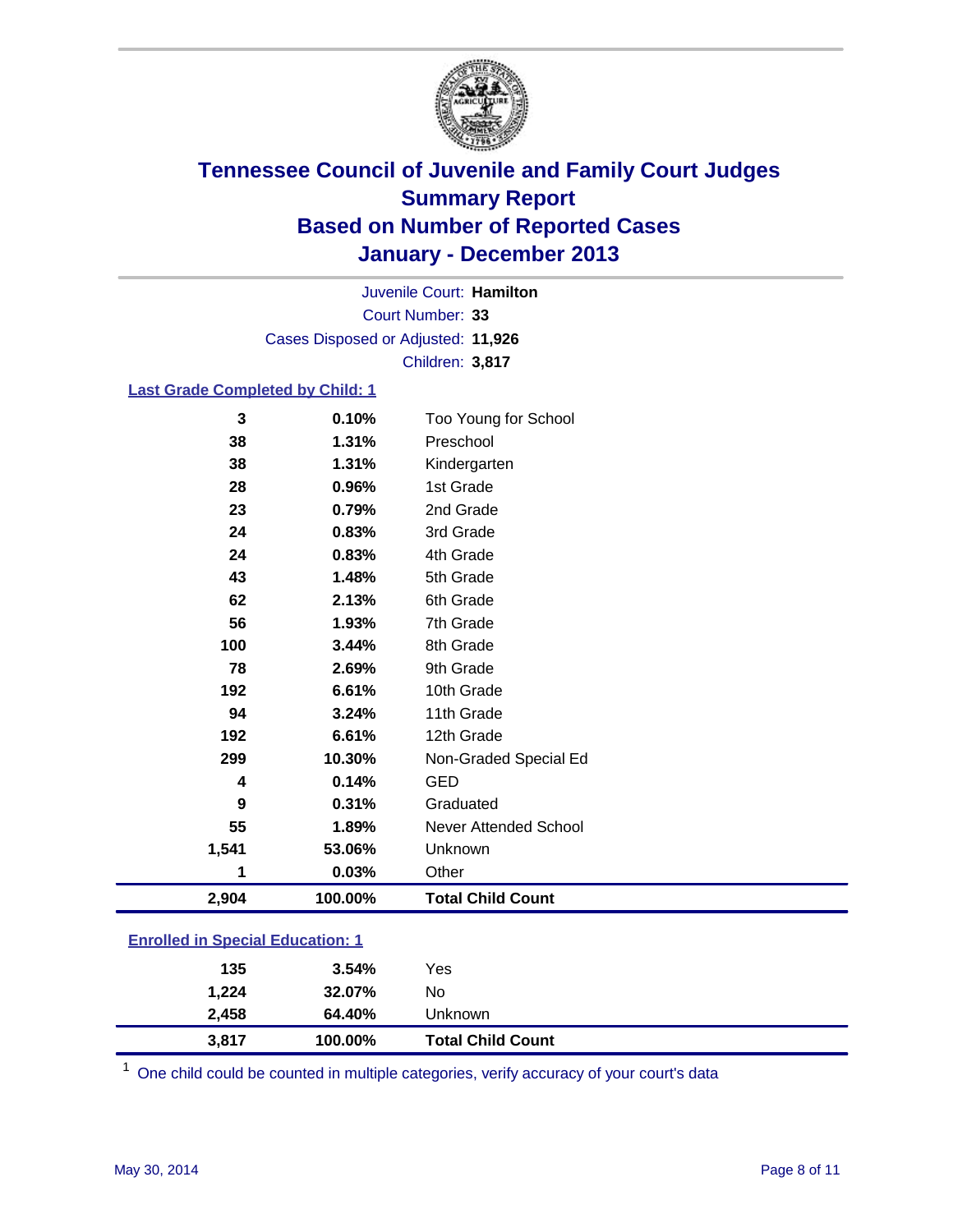

Court Number: **33** Juvenile Court: **Hamilton** Cases Disposed or Adjusted: **11,926** Children: **3,817**

#### **Last Grade Completed by Child: 1**

| 2,904 | 100.00% | <b>Total Child Count</b> |  |
|-------|---------|--------------------------|--|
| 1     | 0.03%   | Other                    |  |
| 1,541 | 53.06%  | Unknown                  |  |
| 55    | 1.89%   | Never Attended School    |  |
| 9     | 0.31%   | Graduated                |  |
| 4     | 0.14%   | <b>GED</b>               |  |
| 299   | 10.30%  | Non-Graded Special Ed    |  |
| 192   | 6.61%   | 12th Grade               |  |
| 94    | 3.24%   | 11th Grade               |  |
| 192   | 6.61%   | 10th Grade               |  |
| 78    | 2.69%   | 9th Grade                |  |
| 100   | 3.44%   | 8th Grade                |  |
| 56    | 1.93%   | 7th Grade                |  |
| 62    | 2.13%   | 6th Grade                |  |
| 43    | 1.48%   | 5th Grade                |  |
| 24    | 0.83%   | 4th Grade                |  |
| 24    | 0.83%   | 3rd Grade                |  |
| 23    | 0.79%   | 2nd Grade                |  |
| 28    | 0.96%   | 1st Grade                |  |
| 38    | 1.31%   | Kindergarten             |  |
| 38    | 1.31%   | Preschool                |  |
| 3     | 0.10%   | Too Young for School     |  |

### **Enrolled in Special Education: 1**

| 3.817 | 100.00%         |     | <b>Total Child Count</b> |
|-------|-----------------|-----|--------------------------|
| 2.458 | 64.40%          |     | Unknown                  |
|       | 1,224<br>32.07% | No  |                          |
|       | 135<br>3.54%    | Yes |                          |
|       |                 |     |                          |

 $1$  One child could be counted in multiple categories, verify accuracy of your court's data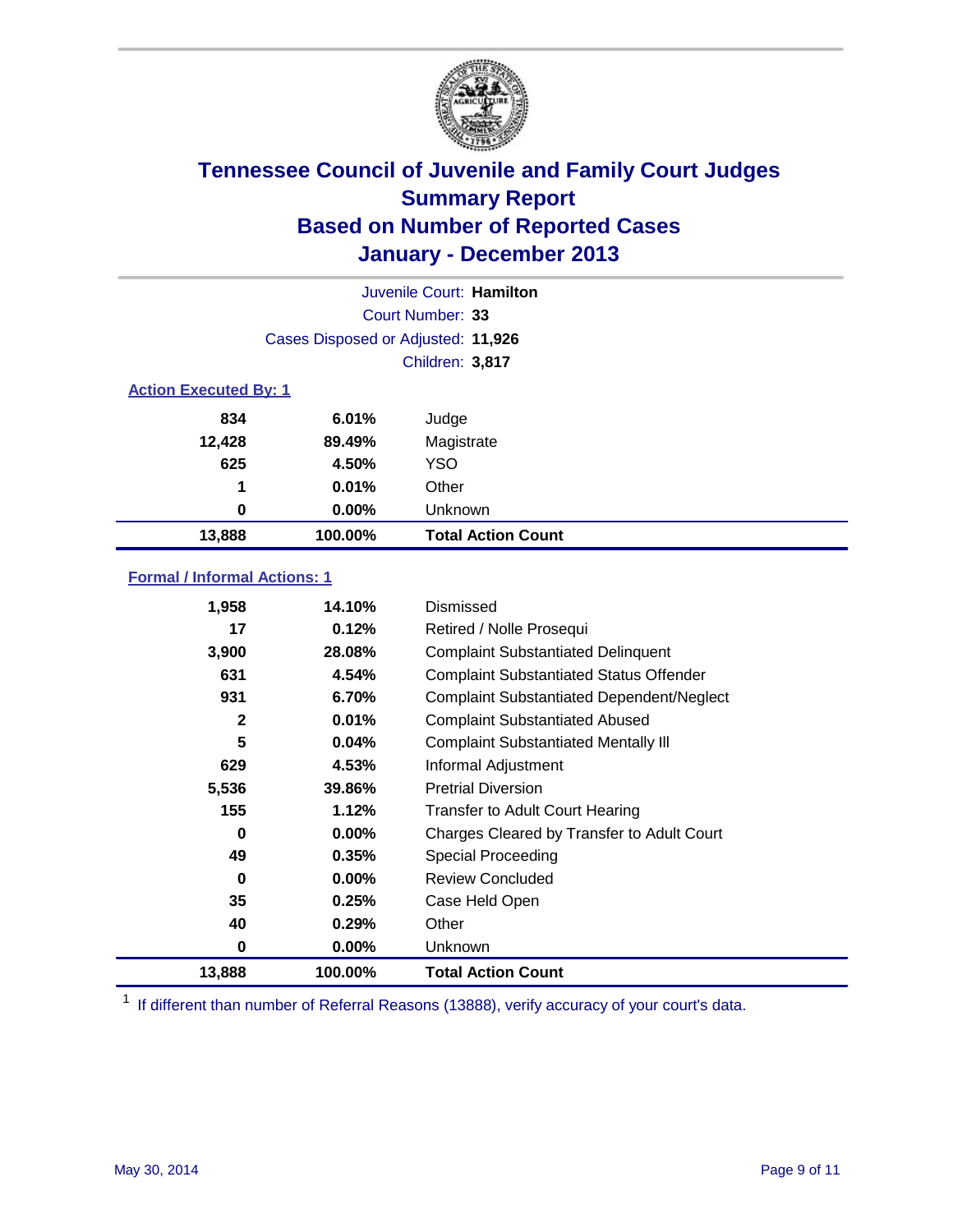

| Juvenile Court: Hamilton     |                                    |                           |  |
|------------------------------|------------------------------------|---------------------------|--|
|                              |                                    | Court Number: 33          |  |
|                              | Cases Disposed or Adjusted: 11,926 |                           |  |
|                              |                                    | Children: 3,817           |  |
| <b>Action Executed By: 1</b> |                                    |                           |  |
| 834<br>6.01%<br>Judge        |                                    |                           |  |
| 12,428                       | 89.49%                             | Magistrate                |  |
| 625                          | 4.50%                              | <b>YSO</b>                |  |
| 1                            | 0.01%                              | Other                     |  |
| 0                            | 0.00%                              | Unknown                   |  |
| 13,888                       | 100.00%                            | <b>Total Action Count</b> |  |

### **Formal / Informal Actions: 1**

| 1,958  | 14.10%   | Dismissed                                        |
|--------|----------|--------------------------------------------------|
| 17     | 0.12%    | Retired / Nolle Prosequi                         |
| 3,900  | 28.08%   | <b>Complaint Substantiated Delinquent</b>        |
| 631    | 4.54%    | <b>Complaint Substantiated Status Offender</b>   |
| 931    | 6.70%    | <b>Complaint Substantiated Dependent/Neglect</b> |
| 2      | 0.01%    | <b>Complaint Substantiated Abused</b>            |
| 5      | 0.04%    | <b>Complaint Substantiated Mentally III</b>      |
| 629    | 4.53%    | Informal Adjustment                              |
| 5,536  | 39.86%   | <b>Pretrial Diversion</b>                        |
| 155    | 1.12%    | <b>Transfer to Adult Court Hearing</b>           |
| 0      | $0.00\%$ | Charges Cleared by Transfer to Adult Court       |
| 49     | 0.35%    | Special Proceeding                               |
| 0      | $0.00\%$ | <b>Review Concluded</b>                          |
| 35     | 0.25%    | Case Held Open                                   |
| 40     | 0.29%    | Other                                            |
| 0      | $0.00\%$ | Unknown                                          |
| 13,888 | 100.00%  | <b>Total Action Count</b>                        |

<sup>1</sup> If different than number of Referral Reasons (13888), verify accuracy of your court's data.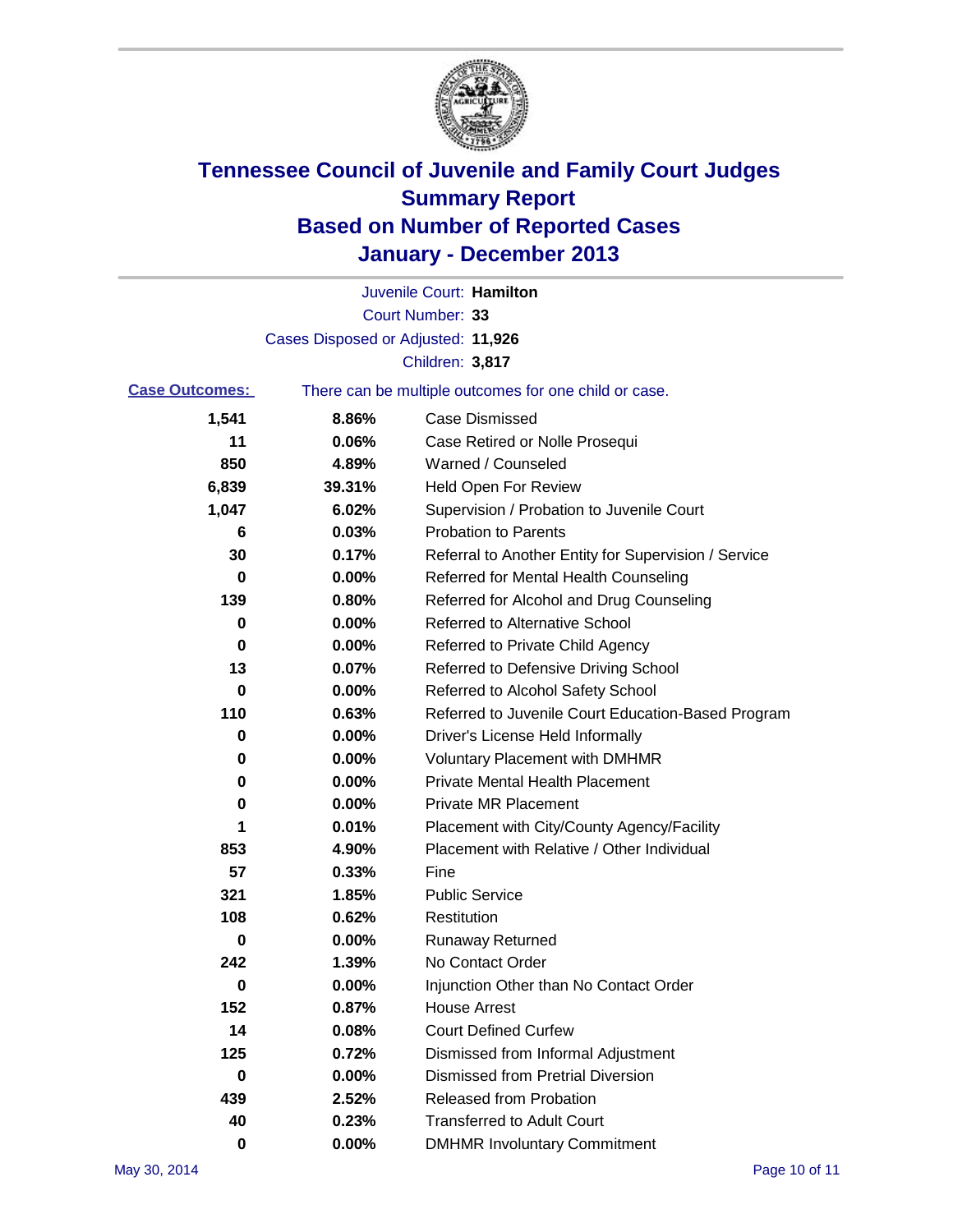

|                       |                                    | Juvenile Court: Hamilton                              |
|-----------------------|------------------------------------|-------------------------------------------------------|
|                       |                                    | Court Number: 33                                      |
|                       | Cases Disposed or Adjusted: 11,926 |                                                       |
|                       |                                    | Children: 3,817                                       |
| <b>Case Outcomes:</b> |                                    | There can be multiple outcomes for one child or case. |
| 1,541                 | 8.86%                              | <b>Case Dismissed</b>                                 |
| 11                    | 0.06%                              | Case Retired or Nolle Prosequi                        |
| 850                   | 4.89%                              | Warned / Counseled                                    |
| 6,839                 | 39.31%                             | Held Open For Review                                  |
| 1,047                 | 6.02%                              | Supervision / Probation to Juvenile Court             |
| 6                     | 0.03%                              | <b>Probation to Parents</b>                           |
| 30                    | 0.17%                              | Referral to Another Entity for Supervision / Service  |
| 0                     | 0.00%                              | Referred for Mental Health Counseling                 |
| 139                   | 0.80%                              | Referred for Alcohol and Drug Counseling              |
| 0                     | 0.00%                              | Referred to Alternative School                        |
| 0                     | 0.00%                              | Referred to Private Child Agency                      |
| 13                    | 0.07%                              | Referred to Defensive Driving School                  |
| 0                     | 0.00%                              | Referred to Alcohol Safety School                     |
| 110                   | 0.63%                              | Referred to Juvenile Court Education-Based Program    |
| 0                     | 0.00%                              | Driver's License Held Informally                      |
| 0                     | 0.00%                              | <b>Voluntary Placement with DMHMR</b>                 |
| 0                     | 0.00%                              | <b>Private Mental Health Placement</b>                |
| 0                     | 0.00%                              | <b>Private MR Placement</b>                           |
| 1                     | 0.01%                              | Placement with City/County Agency/Facility            |
| 853                   | 4.90%                              | Placement with Relative / Other Individual            |
| 57                    | 0.33%                              | Fine                                                  |
| 321                   | 1.85%                              | <b>Public Service</b>                                 |
| 108                   | 0.62%                              | Restitution                                           |
| 0                     | 0.00%                              | <b>Runaway Returned</b>                               |
| 242                   | 1.39%                              | No Contact Order                                      |
| $\bf{0}$              | $0.00\%$                           | Injunction Other than No Contact Order                |
| 152                   | 0.87%                              | <b>House Arrest</b>                                   |
| 14                    | 0.08%                              | <b>Court Defined Curfew</b>                           |
| 125                   | 0.72%                              | Dismissed from Informal Adjustment                    |
| 0                     | 0.00%                              | <b>Dismissed from Pretrial Diversion</b>              |
| 439                   | 2.52%                              | Released from Probation                               |
| 40                    | 0.23%                              | <b>Transferred to Adult Court</b>                     |
| 0                     | $0.00\%$                           | <b>DMHMR Involuntary Commitment</b>                   |